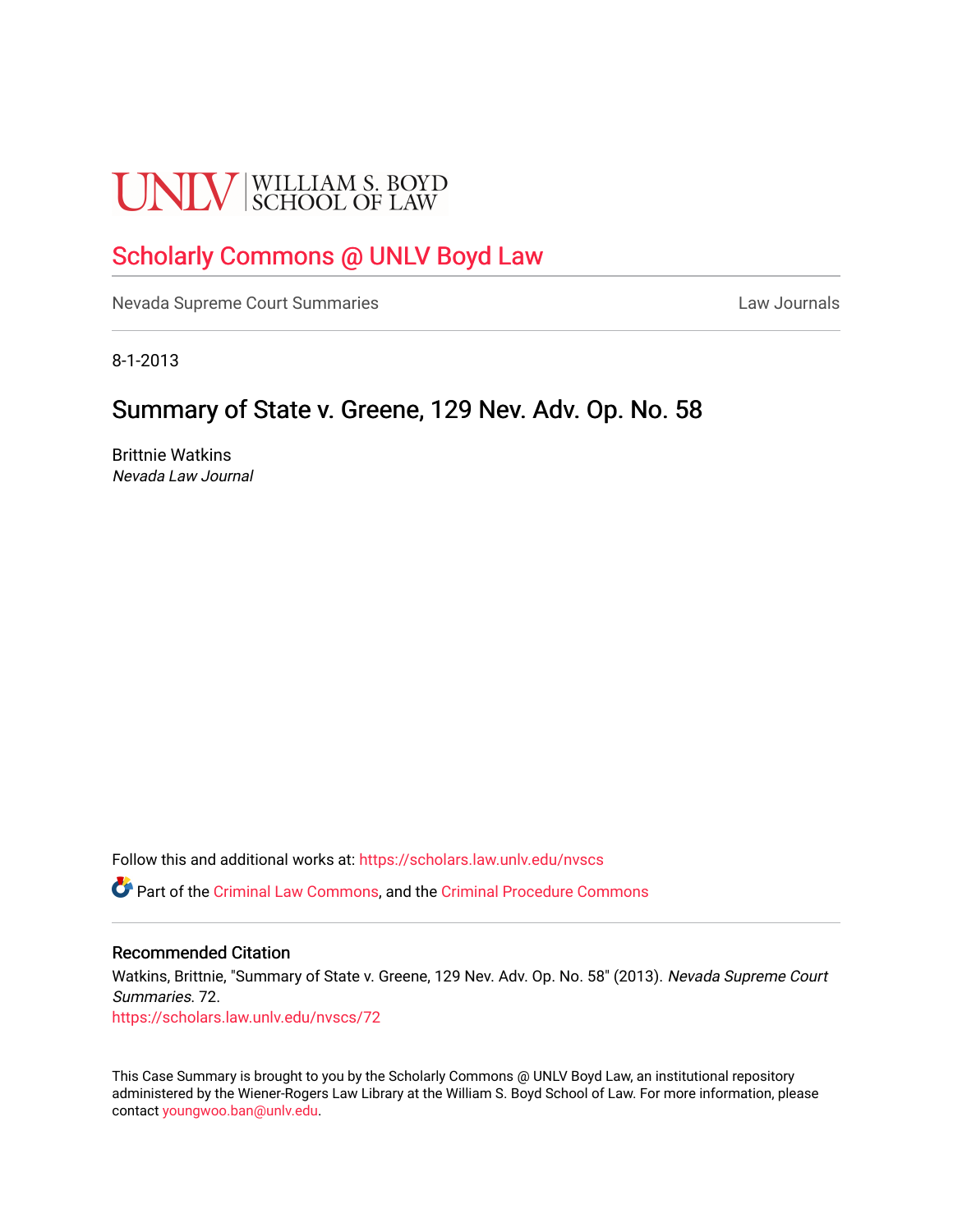# **UNLV** SCHOOL OF LAW

# [Scholarly Commons @ UNLV Boyd Law](https://scholars.law.unlv.edu/)

[Nevada Supreme Court Summaries](https://scholars.law.unlv.edu/nvscs) **Law Journals** Law Journals

8-1-2013

# Summary of State v. Greene, 129 Nev. Adv. Op. No. 58

Brittnie Watkins Nevada Law Journal

Follow this and additional works at: [https://scholars.law.unlv.edu/nvscs](https://scholars.law.unlv.edu/nvscs?utm_source=scholars.law.unlv.edu%2Fnvscs%2F72&utm_medium=PDF&utm_campaign=PDFCoverPages)

Part of the [Criminal Law Commons,](http://network.bepress.com/hgg/discipline/912?utm_source=scholars.law.unlv.edu%2Fnvscs%2F72&utm_medium=PDF&utm_campaign=PDFCoverPages) and the [Criminal Procedure Commons](http://network.bepress.com/hgg/discipline/1073?utm_source=scholars.law.unlv.edu%2Fnvscs%2F72&utm_medium=PDF&utm_campaign=PDFCoverPages)

# Recommended Citation

Watkins, Brittnie, "Summary of State v. Greene, 129 Nev. Adv. Op. No. 58" (2013). Nevada Supreme Court Summaries. 72.

[https://scholars.law.unlv.edu/nvscs/72](https://scholars.law.unlv.edu/nvscs/72?utm_source=scholars.law.unlv.edu%2Fnvscs%2F72&utm_medium=PDF&utm_campaign=PDFCoverPages) 

This Case Summary is brought to you by the Scholarly Commons @ UNLV Boyd Law, an institutional repository administered by the Wiener-Rogers Law Library at the William S. Boyd School of Law. For more information, please contact [youngwoo.ban@unlv.edu](mailto:youngwoo.ban@unlv.edu).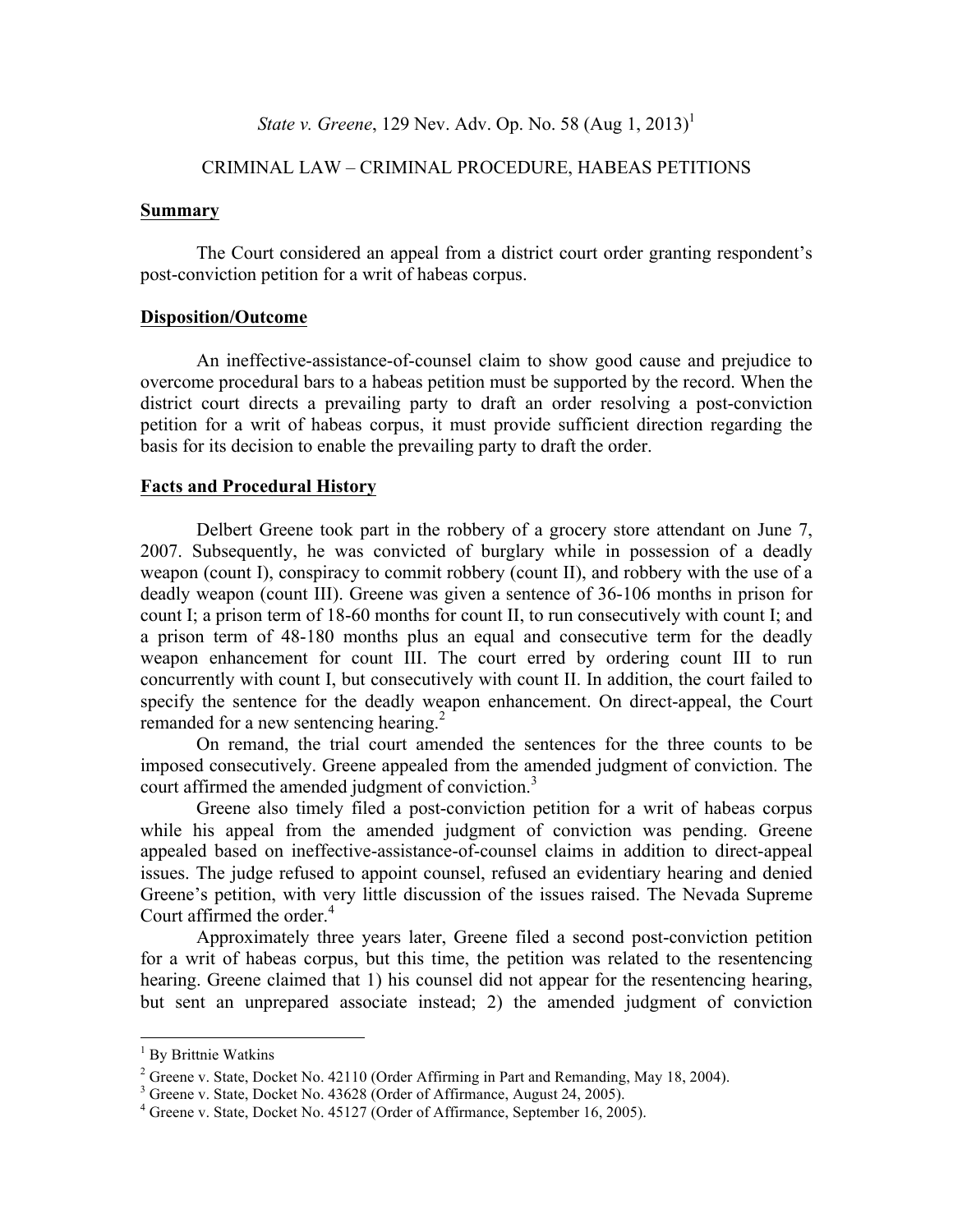# *State v. Greene*, 129 Nev. Adv. Op. No. 58 (Aug 1, 2013)<sup>1</sup>

# CRIMINAL LAW – CRIMINAL PROCEDURE, HABEAS PETITIONS

#### **Summary**

The Court considered an appeal from a district court order granting respondent's post-conviction petition for a writ of habeas corpus.

## **Disposition/Outcome**

An ineffective-assistance-of-counsel claim to show good cause and prejudice to overcome procedural bars to a habeas petition must be supported by the record. When the district court directs a prevailing party to draft an order resolving a post-conviction petition for a writ of habeas corpus, it must provide sufficient direction regarding the basis for its decision to enable the prevailing party to draft the order.

# **Facts and Procedural History**

Delbert Greene took part in the robbery of a grocery store attendant on June 7, 2007. Subsequently, he was convicted of burglary while in possession of a deadly weapon (count I), conspiracy to commit robbery (count II), and robbery with the use of a deadly weapon (count III). Greene was given a sentence of 36-106 months in prison for count I; a prison term of 18-60 months for count II, to run consecutively with count I; and a prison term of 48-180 months plus an equal and consecutive term for the deadly weapon enhancement for count III. The court erred by ordering count III to run concurrently with count I, but consecutively with count II. In addition, the court failed to specify the sentence for the deadly weapon enhancement. On direct-appeal, the Court remanded for a new sentencing hearing.<sup>2</sup>

On remand, the trial court amended the sentences for the three counts to be imposed consecutively. Greene appealed from the amended judgment of conviction. The court affirmed the amended judgment of conviction.<sup>3</sup>

Greene also timely filed a post-conviction petition for a writ of habeas corpus while his appeal from the amended judgment of conviction was pending. Greene appealed based on ineffective-assistance-of-counsel claims in addition to direct-appeal issues. The judge refused to appoint counsel, refused an evidentiary hearing and denied Greene's petition, with very little discussion of the issues raised. The Nevada Supreme Court affirmed the order. 4

Approximately three years later, Greene filed a second post-conviction petition for a writ of habeas corpus, but this time, the petition was related to the resentencing hearing. Greene claimed that 1) his counsel did not appear for the resentencing hearing, but sent an unprepared associate instead; 2) the amended judgment of conviction

<sup>&</sup>lt;sup>1</sup> By Brittnie Watkins

<sup>&</sup>lt;sup>2</sup> Greene v. State, Docket No. 42110 (Order Affirming in Part and Remanding, May 18, 2004).<br><sup>3</sup> Greene v. State, Docket No. 43628 (Order of Affirmance, August 24, 2005).<br><sup>4</sup> Greene v. State, Docket No. 45127 (Order of Af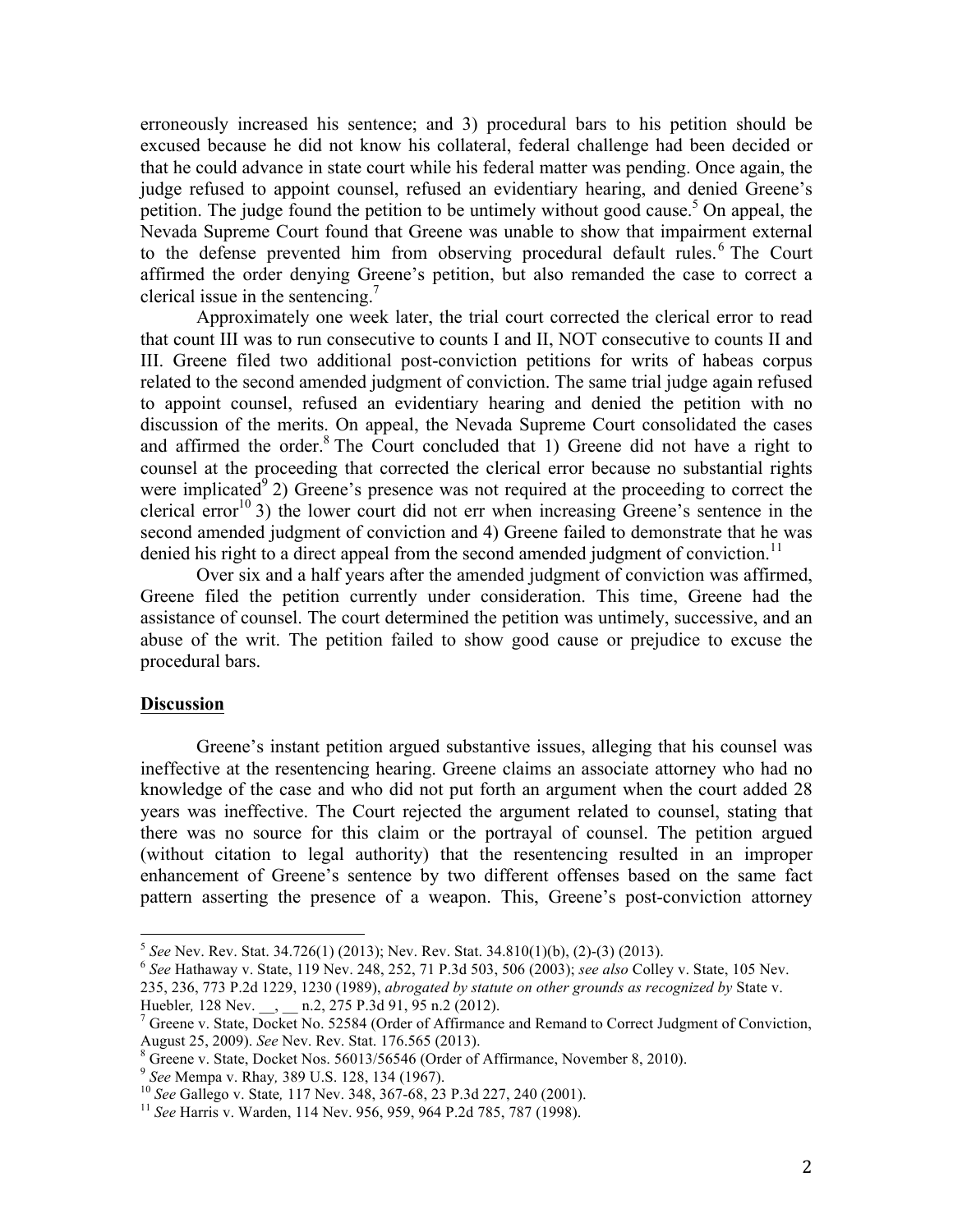erroneously increased his sentence; and 3) procedural bars to his petition should be excused because he did not know his collateral, federal challenge had been decided or that he could advance in state court while his federal matter was pending. Once again, the judge refused to appoint counsel, refused an evidentiary hearing, and denied Greene's petition. The judge found the petition to be untimely without good cause.<sup>5</sup> On appeal, the Nevada Supreme Court found that Greene was unable to show that impairment external to the defense prevented him from observing procedural default rules.<sup>6</sup> The Court affirmed the order denying Greene's petition, but also remanded the case to correct a clerical issue in the sentencing. $\prime$ 

Approximately one week later, the trial court corrected the clerical error to read that count III was to run consecutive to counts I and II, NOT consecutive to counts II and III. Greene filed two additional post-conviction petitions for writs of habeas corpus related to the second amended judgment of conviction. The same trial judge again refused to appoint counsel, refused an evidentiary hearing and denied the petition with no discussion of the merits. On appeal, the Nevada Supreme Court consolidated the cases and affirmed the order. $8$  The Court concluded that 1) Greene did not have a right to counsel at the proceeding that corrected the clerical error because no substantial rights were implicated<sup>9</sup> 2) Greene's presence was not required at the proceeding to correct the clerical error<sup>10</sup> 3) the lower court did not err when increasing Greene's sentence in the second amended judgment of conviction and 4) Greene failed to demonstrate that he was denied his right to a direct appeal from the second amended judgment of conviction.<sup>11</sup>

Over six and a half years after the amended judgment of conviction was affirmed, Greene filed the petition currently under consideration. This time, Greene had the assistance of counsel. The court determined the petition was untimely, successive, and an abuse of the writ. The petition failed to show good cause or prejudice to excuse the procedural bars.

# **Discussion**

Greene's instant petition argued substantive issues, alleging that his counsel was ineffective at the resentencing hearing. Greene claims an associate attorney who had no knowledge of the case and who did not put forth an argument when the court added 28 years was ineffective. The Court rejected the argument related to counsel, stating that there was no source for this claim or the portrayal of counsel. The petition argued (without citation to legal authority) that the resentencing resulted in an improper enhancement of Greene's sentence by two different offenses based on the same fact pattern asserting the presence of a weapon. This, Greene's post-conviction attorney

 <sup>5</sup> *See* Nev. Rev. Stat. 34.726(1) (2013); Nev. Rev. Stat. 34.810(1)(b), (2)-(3) (2013). <sup>6</sup> *See* Hathaway v. State, 119 Nev. 248, 252, 71 P.3d 503, 506 (2003); *see also* Colley v. State, 105 Nev.

<sup>235, 236, 773</sup> P.2d 1229, 1230 (1989), *abrogated by statute on other grounds as recognized by* State v.

 $^7$  Greene v. State, Docket No. 52584 (Order of Affirmance and Remand to Correct Judgment of Conviction, August 25, 2009). See Nev. Rev. Stat. 176.565 (2013).<br>
<sup>8</sup> Greene v. State, Docket Nos. 56013/56546 (Order of Affirmance, November 8, 2010).<br>
<sup>9</sup> See Mempa v. Rhay, 389 U.S. 128, 134 (1967).<br>
<sup>10</sup> See Gallego v. State, 117